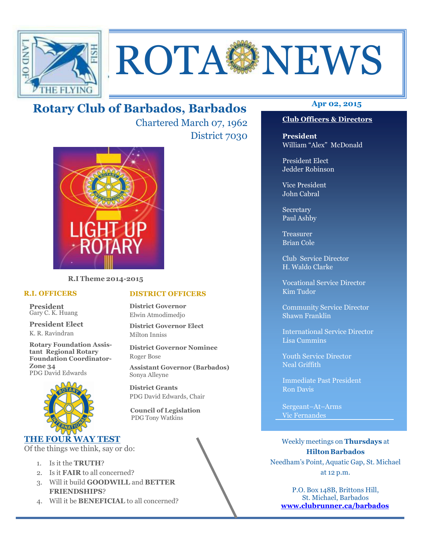

# ROTA NEWS

# **Apr 02, 2015 Rotary Club of Barbados, Barbados**

Chartered March 07, 1962 District 7030

**DISTRICT OFFICERS**

**District Governor Elect**

PDG David Edwards, Chair

 **Council of Legislation**  PDG Tony Watkins

**District Governor Nominee** 

**Assistant Governor (Barbados)**

**District Governor** Elwin Atmodimedjo

Milton Inniss

Roger Bose

Sonya Alleyne **District Grants** 



**R.I Theme 2014-2015** 

#### **R.I. OFFICERS**

**President** Gary C. K. Huang

**President Elect** K. R. Ravindran

**Rotary Foundation Assistant Regional Rotary Foundation Coordinator-Zone 34**  PDG David Edwards



#### **THE FOUR WAY TEST**

Of the things we think, say or do:

- 1. Is it the **TRUTH**?
- 2. Is it **FAIR** to all concerned?
- 3. Will it build **GOODWILL** and **BETTER FRIENDSHIPS**?
- 4. Will it be **BENEFICIAL** to all concerned?

# **Club Officers & Directors**

**President** William "Alex" McDonald

President Elect Jedder Robinson

Vice President John Cabral

Secretary Paul Ashby

Treasurer Brian Cole

Club Service Director H. Waldo Clarke

Vocational Service Director Kim Tudor

Community Service Director Shawn Franklin

International Service Director Lisa Cummins

Youth Service Director Neal Griffith

Immediate Past President Ron Davis

Sergeant–At–Arms Vic Fernandes

Weekly meetings on **Thursdays** at **Hilton Barbados** Needham's Point, Aquatic Gap, St. Michael at 12 p.m.

P.O. Box 148B, Brittons Hill, St. Michael, Barbados **www.clubrunner.ca/barbados**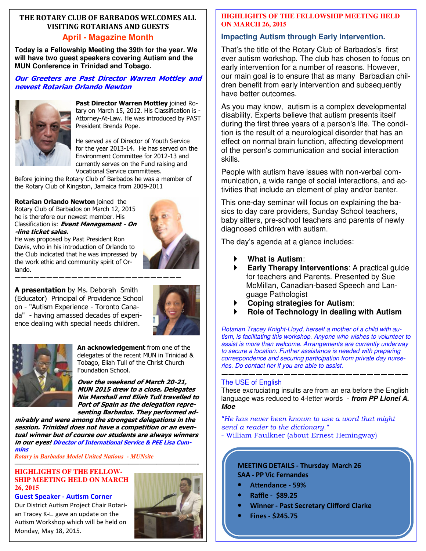#### **THE ROTARY CLUB OF BARBADOS WELCOMES ALL VISITING ROTARIANS AND GUESTS April - Magazine Month**

**Today is a Fellowship Meeting the 39th for the year. We will have two guest speakers covering Autism and the MUN Conference in Trinidad and Tobago.** 

#### **Our Greeters are Past Director Warren Mottley and newest Rotarian Orlando Newton**



**Past Director Warren Mottley** joined Rotary on March 15, 2012. His Classification is - Attorney-At-Law. He was introduced by PAST President Brenda Pope.

He served as of Director of Youth Service for the year 2013-14. He has served on the Environment Committee for 2012-13 and currently serves on the Fund raising and Vocational Service committees.

Before joining the Rotary Club of Barbados he was a member of the Rotary Club of Kingston, Jamaica from 2009-2011

**Rotarian Orlando Newton** joined the Rotary Club of Barbados on March 12, 2015 he is therefore our newest member. His Classification is: **Event Management - On -line ticket sales.** 



He was proposed by Past President Ron Davis, who in his introduction of Orlando to the Club indicated that he was impressed by the work ethic and community spirit of Orlando.

**A presentation** by Ms. Deborah Smith (Educator) Principal of Providence School on - "Autism Experience - Toronto Canada" - having amassed decades of experience dealing with special needs children.





**An acknowledgement** from one of the delegates of the recent MUN in Trinidad & Tobago, Eliah Tull of the Christ Church Foundation School.

**Over the weekend of March 20-21, MUN 2015 drew to a close. Delegates Nia Marshall and Eliah Tull travelled to Port of Spain as the delegation representing Barbados. They performed ad-**

**mirably and were among the strongest delegations in the session. Trinidad does not have a competition or an eventual winner but of course our students are always winners in our eyes! Director of International Service & PEE Lisa Cummins**

*Rotary in Barbados Model United Nations - MUNsite* 

#### **HIGHLIGHTS OF THE FELLOW-SHIP MEETING HELD ON MARCH 26, 2015**

#### **Guest Speaker - Autism Corner**

 Au
sm Workshop which will be held on Our District Autism Project Chair Rotarian Tracey K-L. gave an update on the Monday, May 18, 2015.



#### **HIGHLIGHTS OF THE FELLOWSHIP MEETING HELD ON MARCH 26, 2015**

#### **Impacting Autism through Early Intervention.**

That's the title of the Rotary Club of Barbados's first ever autism workshop. The club has chosen to focus on early intervention for a number of reasons. However, our main goal is to ensure that as many Barbadian children benefit from early intervention and subsequently have better outcomes.

As you may know, autism is a complex developmental disability. Experts believe that autism presents itself during the first three years of a person's life. The condition is the result of a neurological disorder that has an effect on normal brain function, affecting development of the person's communication and social interaction skills.

People with autism have issues with non-verbal communication, a wide range of social interactions, and activities that include an element of play and/or banter.

This one-day seminar will focus on explaining the basics to day care providers, Sunday School teachers, baby sitters, pre-school teachers and parents of newly diagnosed children with autism.

The day's agenda at a glance includes:

- **What is Autism**:
- **Early Therapy Interventions**: A practical guide for teachers and Parents. Presented by Sue McMillan, Canadian-based Speech and Language Pathologist
- **Coping strategies for Autism**:
- **Role of Technology in dealing with Autism**

Rotarian Tracey Knight-Lloyd, herself a mother of a child with autism, is facilitating this workshop. Anyone who wishes to volunteer to assist is more than welcome. Arrangements are currently underway to secure a location. Further assistance is needed with preparing correspondence and securing participation from private day nurseries. Do contact her if you are able to assist.

#### **———————————————————————————**  The USE of English

These excruciating insults are from an era before the English language was reduced to 4-letter words - **from PP Lionel A. Moe** 

*"He has never been known to use a word that might send a reader to the dictionary."* 

- William Faulkner (about Ernest Hemingway)

#### **MEETING DETAILS - Thursday March 26 SAA - PP Vic Fernandes**

- **A%endance 59%**
- **Raffle \$89.25**
- **Winner Past Secretary Clifford Clarke**
- **Fines \$245.75**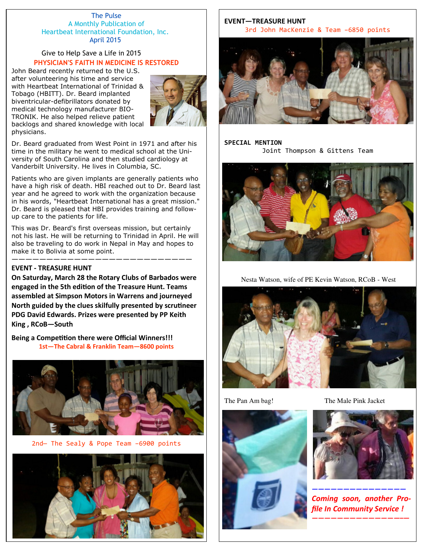#### The Pulse A Monthly Publication of Heartbeat International Foundation, Inc. April 2015

#### Give to Help Save a Life in 2015 **PHYSICIAN'S FAITH IN MEDICINE IS RESTORED**

John Beard recently returned to the U.S. after volunteering his time and service with Heartbeat International of Trinidad & Tobago (HBITT). Dr. Beard implanted biventricular-defibrillators donated by medical technology manufacturer BIO-TRONIK. He also helped relieve patient backlogs and shared knowledge with local physicians.



Dr. Beard graduated from West Point in 1971 and after his time in the military he went to medical school at the University of South Carolina and then studied cardiology at Vanderbilt University. He lives in Columbia, SC.

Patients who are given implants are generally patients who have a high risk of death. HBI reached out to Dr. Beard last year and he agreed to work with the organization because in his words, "Heartbeat International has a great mission." Dr. Beard is pleased that HBI provides training and followup care to the patients for life.

This was Dr. Beard's first overseas mission, but certainly not his last. He will be returning to Trinidad in April. He will also be traveling to do work in Nepal in May and hopes to make it to Bolivia at some point.

——————————————————————————

#### **EVENT - TREASURE HUNT**

**On Saturday, March 28 the Rotary Clubs of Barbados were**  engaged in the 5th edition of the Treasure Hunt. Teams **assembled at Simpson Motors in Warrens and journeyed**  North guided by the clues skilfully presented by scrutineer **PDG David Edwards. Prizes were presented by PP Keith King , RCoB—South** 

**Being a Competition there were Official Winners!!! 1st—The Cabral & Franklin Team—8600 points** 



2nd— The Sealy & Pope Team –6900 points



#### **EVENT—TREASURE HUNT**  3rd John MacKenzie & Team –6850 points



#### **SPECIAL MENTION**  Joint Thompson & Gittens Team



Nesta Watson, wife of PE Kevin Watson, RCoB - West





The Pan Am bag! The Male Pink Jacket



*——————————————— Coming soon, another Profile In Community Service !* 

*——————————————–—*